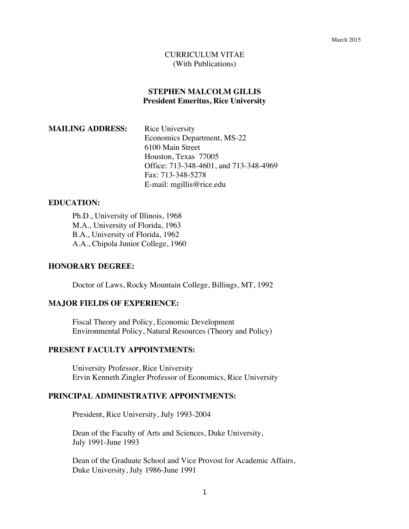#### CURRICULUM VITAE (With Publications)

## **STEPHEN MALCOLM GILLIS President Emeritus, Rice University**

| <b>MAILING ADDRESS:</b> | Rice University                        |
|-------------------------|----------------------------------------|
|                         | Economics Department, MS-22            |
|                         | 6100 Main Street                       |
|                         | Houston, Texas 77005                   |
|                         | Office: 713-348-4601, and 713-348-4969 |
|                         | Fax: 713-348-5278                      |
|                         | E-mail: mgillis@rice.edu               |

# **EDUCATION:**

Ph.D., University of Illinois, 1968 M.A., University of Florida, 1963 B.A., University of Florida, 1962 A.A., Chipola Junior College, 1960

### **HONORARY DEGREE:**

Doctor of Laws, Rocky Mountain College, Billings, MT, 1992

### **MAJOR FIELDS OF EXPERIENCE:**

Fiscal Theory and Policy, Economic Development Environmental Policy, Natural Resources (Theory and Policy)

## **PRESENT FACULTY APPOINTMENTS:**

University Professor, Rice University Ervin Kenneth Zingler Professor of Economics, Rice University

#### **PRINCIPAL ADMINISTRATIVE APPOINTMENTS:**

President, Rice University, July 1993-2004

Dean of the Faculty of Arts and Sciences, Duke University, July 1991-June 1993

Dean of the Graduate School and Vice Provost for Academic Affairs, Duke University, July 1986-June 1991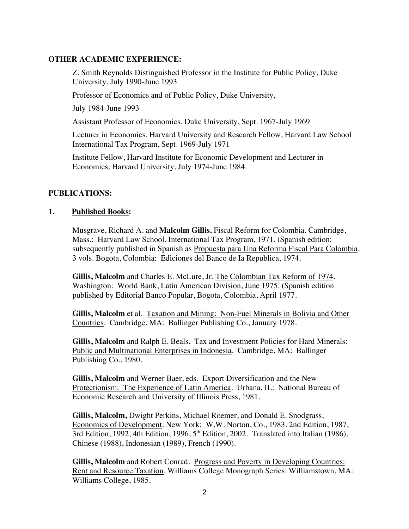## **OTHER ACADEMIC EXPERIENCE:**

Z. Smith Reynolds Distinguished Professor in the Institute for Public Policy, Duke University, July 1990-June 1993

Professor of Economics and of Public Policy, Duke University,

July 1984-June 1993

Assistant Professor of Economics, Duke University, Sept. 1967-July 1969

Lecturer in Economics, Harvard University and Research Fellow, Harvard Law School International Tax Program, Sept. 1969-July 1971

Institute Fellow, Harvard Institute for Economic Development and Lecturer in Economics, Harvard University, July 1974-June 1984.

## **PUBLICATIONS:**

## **1. Published Books:**

Musgrave, Richard A. and **Malcolm Gillis.** Fiscal Reform for Colombia. Cambridge, Mass.: Harvard Law School, International Tax Program, 1971. (Spanish edition: subsequently published in Spanish as Propuesta para Una Reforma Fiscal Para Colombia. 3 vols. Bogota, Colombia: Ediciones del Banco de Ia Republica, 1974.

**Gillis, Malcolm** and Charles E. McLure, Jr. The Colombian Tax Reform of 1974. Washington: World Bank, Latin American Division, June 1975. (Spanish edition published by Editorial Banco Popular, Bogota, Colombia, April 1977.

**Gillis, Malcolm** et al. Taxation and Mining: Non-Fuel Minerals in Bolivia and Other Countries. Cambridge, MA: Ballinger Publishing Co., January 1978.

**Gillis, Malcolm** and Ralph E. Beals. Tax and Investment Policies for Hard Minerals: Public and Multinational Enterprises in Indonesia. Cambridge, MA: Ballinger Publishing Co., 1980.

**Gillis, Malcolm** and Werner Baer, eds. Export Diversification and the New Protectionism: The Experience of Latin America. Urbana, IL: National Bureau of Economic Research and University of Illinois Press, 1981.

**Gillis, Malcolm,** Dwight Perkins, Michael Roemer, and Donald E. Snodgrass, Economics of Development. New York: W.W. Norton, Co., 1983. 2nd Edition, 1987, 3rd Edition, 1992, 4th Edition, 1996,  $5<sup>th</sup>$  Edition, 2002. Translated into Italian (1986), Chinese (1988), Indonesian (1989), French (1990).

**Gillis, Malcolm** and Robert Conrad. Progress and Poverty in Developing Countries: Rent and Resource Taxation. Williams College Monograph Series. Williamstown, MA: Williams College, 1985.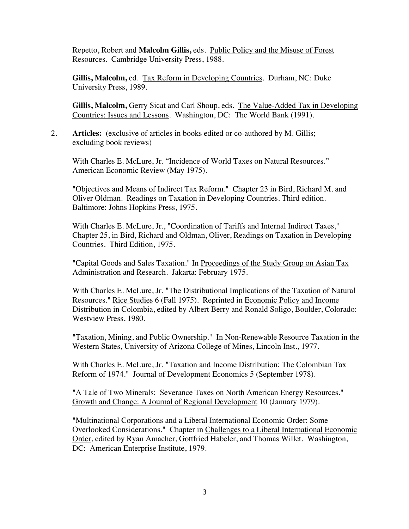Repetto, Robert and **Malcolm Gillis,** eds. Public Policy and the Misuse of Forest Resources. Cambridge University Press, 1988.

**Gillis, Malcolm,** ed. Tax Reform in Developing Countries. Durham, NC: Duke University Press, 1989.

**Gillis, Malcolm,** Gerry Sicat and Carl Shoup, eds. The Value-Added Tax in Developing Countries: Issues and Lessons. Washington, DC: The World Bank (1991).

2. **Articles:** (exclusive of articles in books edited or co-authored by M. Gillis; excluding book reviews)

With Charles E. McLure, Jr. "Incidence of World Taxes on Natural Resources." American Economic Review (May 1975).

"Objectives and Means of Indirect Tax Reform." Chapter 23 in Bird, Richard M. and Oliver Oldman. Readings on Taxation in Developing Countries. Third edition. Baltimore: Johns Hopkins Press, 1975.

With Charles E. McLure, Jr., "Coordination of Tariffs and Internal Indirect Taxes," Chapter 25, in Bird, Richard and Oldman, Oliver, Readings on Taxation in Developing Countries. Third Edition, 1975.

"Capital Goods and Sales Taxation." In Proceedings of the Study Group on Asian Tax Administration and Research. Jakarta: February 1975.

With Charles E. McLure, Jr. "The Distributional Implications of the Taxation of Natural Resources." Rice Studies 6 (Fall 1975). Reprinted in Economic Policy and Income Distribution in Colombia, edited by Albert Berry and Ronald Soligo, Boulder, Colorado: Westview Press, 1980.

"Taxation, Mining, and Public Ownership." In Non-Renewable Resource Taxation in the Western States, University of Arizona College of Mines, Lincoln Inst., 1977.

With Charles E. McLure, Jr. "Taxation and Income Distribution: The Colombian Tax Reform of 1974." Journal of Development Economics 5 (September 1978).

"A Tale of Two Minerals: Severance Taxes on North American Energy Resources." Growth and Change: A Journal of Regional Development 10 (January 1979).

"Multinational Corporations and a Liberal International Economic Order: Some Overlooked Considerations." Chapter in Challenges to a Liberal International Economic Order, edited by Ryan Amacher, Gottfried Habeler, and Thomas Willet. Washington, DC: American Enterprise Institute, 1979.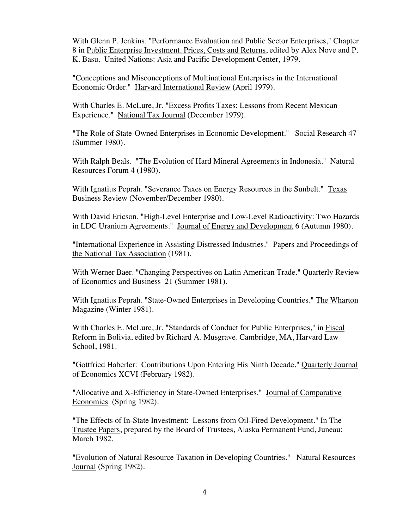With Glenn P. Jenkins. "Performance Evaluation and Public Sector Enterprises," Chapter 8 in Public Enterprise Investment. Prices, Costs and Returns, edited by Alex Nove and P. K. Basu. United Nations: Asia and Pacific Development Center, 1979.

"Conceptions and Misconceptions of Multinational Enterprises in the International Economic Order." Harvard International Review (April 1979).

With Charles E. McLure, Jr. "Excess Profits Taxes: Lessons from Recent Mexican Experience." National Tax Journal (December 1979).

"The Role of State-Owned Enterprises in Economic Development." Social Research 47 (Summer 1980).

With Ralph Beals. "The Evolution of Hard Mineral Agreements in Indonesia." Natural Resources Forum 4 (1980).

With Ignatius Peprah. "Severance Taxes on Energy Resources in the Sunbelt." Texas Business Review (November/December 1980).

With David Ericson. "High-Level Enterprise and Low-Level Radioactivity: Two Hazards in LDC Uranium Agreements." Journal of Energy and Development 6 (Autumn 1980).

"International Experience in Assisting Distressed Industries." Papers and Proceedings of the National Tax Association (1981).

With Werner Baer. "Changing Perspectives on Latin American Trade." Quarterly Review of Economics and Business 21 (Summer 1981).

With Ignatius Peprah. "State-Owned Enterprises in Developing Countries." The Wharton Magazine (Winter 1981).

With Charles E. McLure, Jr. "Standards of Conduct for Public Enterprises," in Fiscal Reform in Bolivia, edited by Richard A. Musgrave. Cambridge, MA, Harvard Law School, 1981.

"Gottfried Haberler: Contributions Upon Entering His Ninth Decade," Quarterly Journal of Economics XCVI (February 1982).

"Allocative and X-Efficiency in State-Owned Enterprises." Journal of Comparative Economics (Spring 1982).

"The Effects of In-State Investment: Lessons from Oil-Fired Development." In The Trustee Papers, prepared by the Board of Trustees, Alaska Permanent Fund, Juneau: March 1982.

"Evolution of Natural Resource Taxation in Developing Countries." Natural Resources Journal (Spring 1982).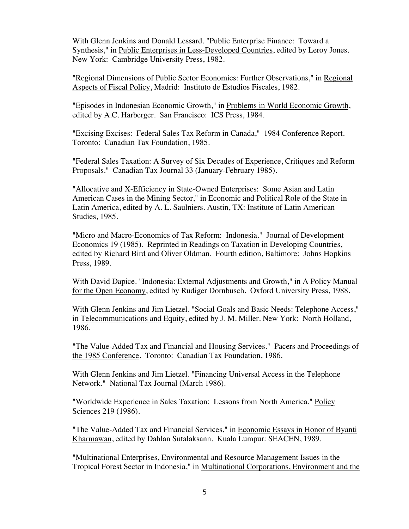With Glenn Jenkins and Donald Lessard. "Public Enterprise Finance: Toward a Synthesis," in Public Enterprises in Less-Developed Countries, edited by Leroy Jones. New York: Cambridge University Press, 1982.

"Regional Dimensions of Public Sector Economics: Further Observations," in Regional Aspects of Fiscal Policy, Madrid: Instituto de Estudios Fiscales, 1982.

"Episodes in Indonesian Economic Growth," in Problems in World Economic Growth, edited by A.C. Harberger. San Francisco: ICS Press, 1984.

"Excising Excises: Federal Sales Tax Reform in Canada," 1984 Conference Report. Toronto: Canadian Tax Foundation, 1985.

"Federal Sales Taxation: A Survey of Six Decades of Experience, Critiques and Reform Proposals." Canadian Tax Journal 33 (January-February 1985).

"Allocative and X-Efficiency in State-Owned Enterprises: Some Asian and Latin American Cases in the Mining Sector," in Economic and Political Role of the State in Latin America, edited by A. L. Saulniers. Austin, TX: Institute of Latin American Studies, 1985.

"Micro and Macro-Economics of Tax Reform: Indonesia." Journal of Development Economics 19 (1985). Reprinted in Readings on Taxation in Developing Countries, edited by Richard Bird and Oliver Oldman. Fourth edition, Baltimore: Johns Hopkins Press, 1989.

With David Dapice. "Indonesia: External Adjustments and Growth," in A Policy Manual for the Open Economy, edited by Rudiger Dornbusch. Oxford University Press, 1988.

With Glenn Jenkins and Jim Lietzel. "Social Goals and Basic Needs: Telephone Access," in Telecommunications and Equity, edited by J. M. Miller. New York: North Holland, 1986.

"The Value-Added Tax and Financial and Housing Services." Pacers and Proceedings of the 1985 Conference. Toronto: Canadian Tax Foundation, 1986.

With Glenn Jenkins and Jim Lietzel. "Financing Universal Access in the Telephone Network." National Tax Journal (March 1986).

"Worldwide Experience in Sales Taxation: Lessons from North America." Policy Sciences 219 (1986).

"The Value-Added Tax and Financial Services," in Economic Essays in Honor of Byanti Kharmawan, edited by Dahlan Sutalaksann. Kuala Lumpur: SEACEN, 1989.

"Multinational Enterprises, Environmental and Resource Management Issues in the Tropical Forest Sector in Indonesia," in Multinational Corporations, Environment and the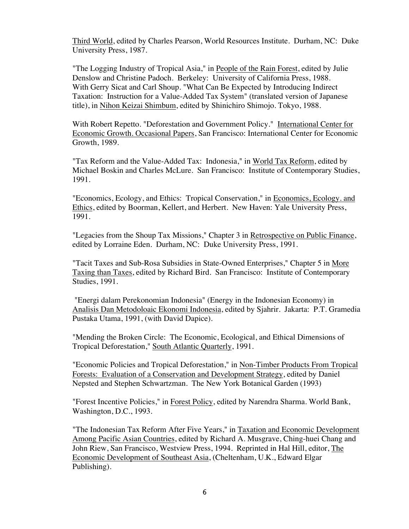Third World, edited by Charles Pearson, World Resources Institute. Durham, NC: Duke University Press, 1987.

"The Logging Industry of Tropical Asia," in People of the Rain Forest, edited by Julie Denslow and Christine Padoch. Berkeley: University of California Press, 1988. With Gerry Sicat and Carl Shoup. "What Can Be Expected by Introducing Indirect Taxation: Instruction for a Value-Added Tax System" (translated version of Japanese title), in Nihon Keizai Shimbum, edited by Shinichiro Shimojo. Tokyo, 1988.

With Robert Repetto. "Deforestation and Government Policy." International Center for Economic Growth. Occasional Papers, San Francisco: International Center for Economic Growth, 1989.

"Tax Reform and the Value-Added Tax: Indonesia," in World Tax Reform, edited by Michael Boskin and Charles McLure. San Francisco: Institute of Contemporary Studies, 1991.

"Economics, Ecology, and Ethics: Tropical Conservation," in Economics, Ecology. and Ethics, edited by Boorman, Kellert, and Herbert. New Haven: Yale University Press, 1991.

"Legacies from the Shoup Tax Missions," Chapter 3 in Retrospective on Public Finance, edited by Lorraine Eden. Durham, NC: Duke University Press, 1991.

"Tacit Taxes and Sub-Rosa Subsidies in State-Owned Enterprises," Chapter 5 in More Taxing than Taxes, edited by Richard Bird. San Francisco: Institute of Contemporary Studies, 1991.

"Energi dalam Perekonomian Indonesia" (Energy in the Indonesian Economy) in Analisis Dan Metodoloaic Ekonomi Indonesia, edited by Sjahrir. Jakarta: P.T. Gramedia Pustaka Utama, 1991, (with David Dapice).

"Mending the Broken Circle: The Economic, Ecological, and Ethical Dimensions of Tropical Deforestation," South Atlantic Quarterly, 1991.

"Economic Policies and Tropical Deforestation," in Non-Timber Products From Tropical Forests: Evaluation of a Conservation and Development Strategy, edited by Daniel Nepsted and Stephen Schwartzman. The New York Botanical Garden (1993)

"Forest Incentive Policies," in Forest Policy, edited by Narendra Sharma. World Bank, Washington, D.C., 1993.

"The Indonesian Tax Reform After Five Years," in Taxation and Economic Development Among Pacific Asian Countries, edited by Richard A. Musgrave, Ching-huei Chang and John Riew, San Francisco, Westview Press, 1994. Reprinted in Hal Hill, editor, The Economic Development of Southeast Asia, (Cheltenham, U.K., Edward Elgar Publishing).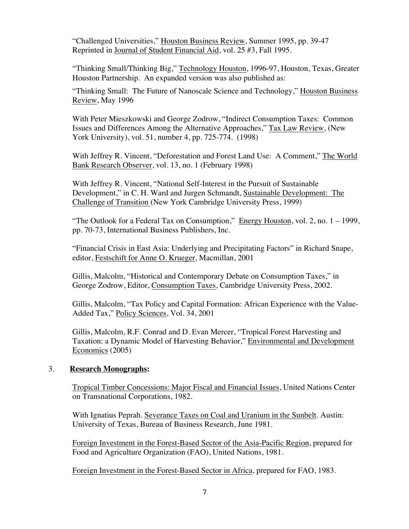"Challenged Universities," Houston Business Review, Summer 1995, pp. 39-47 Reprinted in Journal of Student Financial Aid, vol. 25 #3, Fall 1995.

"Thinking Small/Thinking Big," Technology Houston, 1996-97, Houston, Texas, Greater Houston Partnership. An expanded version was also published as:

"Thinking Small: The Future of Nanoscale Science and Technology," Houston Business Review, May 1996

With Peter Mieszkowski and George Zodrow, "Indirect Consumption Taxes: Common Issues and Differences Among the Alternative Approaches," Tax Law Review, (New York University), vol. 51, number 4, pp. 725-774. (1998)

With Jeffrey R. Vincent, "Deforestation and Forest Land Use: A Comment," The World Bank Research Observer, vol. 13, no. 1 (February 1998)

With Jeffrey R. Vincent, "National Self-Interest in the Pursuit of Sustainable Development," in C. H. Ward and Jurgen Schmandt, Sustainable Development: The Challenge of Transition (New York Cambridge University Press, 1999)

"The Outlook for a Federal Tax on Consumption," Energy Houston, vol. 2, no. 1 – 1999, pp. 70-73, International Business Publishers, Inc.

"Financial Crisis in East Asia: Underlying and Precipitating Factors" in Richard Snape, editor, Festschift for Anne O. Krueger, Macmillan, 2001

Gillis, Malcolm, "Historical and Contemporary Debate on Consumption Taxes," in George Zodrow, Editor, Consumption Taxes, Cambridge University Press, 2002.

Gillis, Malcolm, "Tax Policy and Capital Formation: African Experience with the Value-Added Tax," Policy Sciences, Vol. 34, 2001

Gillis, Malcolm, R.F. Conrad and D. Evan Mercer, "Tropical Forest Harvesting and Taxation: a Dynamic Model of Harvesting Behavior," Environmental and Development Economics (2005)

## 3. **Research Monographs:**

Tropical Timber Concessions: Major Fiscal and Financial Issues, United Nations Center on Transnational Corporations, 1982.

With Ignatius Peprah. Severance Taxes on Coal and Uranium in the Sunbelt. Austin: University of Texas, Bureau of Business Research, June 1981.

Foreign Investment in the Forest-Based Sector of the Asia-Pacific Region, prepared for Food and Agriculture Organization (FAO), United Nations, 1981.

Foreign Investment in the Forest-Based Sector in Africa, prepared for FAO, 1983.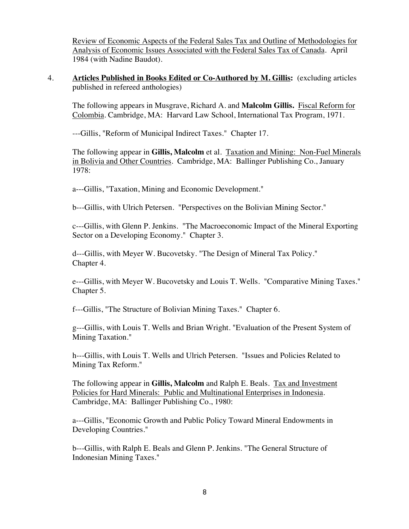Review of Economic Aspects of the Federal Sales Tax and Outline of Methodologies for Analysis of Economic Issues Associated with the Federal Sales Tax of Canada. April 1984 (with Nadine Baudot).

4. **Articles Published in Books Edited or Co-Authored by M. Gillis:** (excluding articles published in refereed anthologies)

The following appears in Musgrave, Richard A. and **Malcolm Gillis.** Fiscal Reform for Colombia. Cambridge, MA: Harvard Law School, International Tax Program, 1971.

---Gillis, "Reform of Municipal Indirect Taxes." Chapter 17.

The following appear in **Gillis, Malcolm** et al. Taxation and Mining: Non-Fuel Minerals in Bolivia and Other Countries. Cambridge, MA: Ballinger Publishing Co., January 1978:

a---Gillis, "Taxation, Mining and Economic Development."

b---Gillis, with Ulrich Petersen. "Perspectives on the Bolivian Mining Sector."

c---Gillis, with Glenn P. Jenkins. "The Macroeconomic Impact of the Mineral Exporting Sector on a Developing Economy." Chapter 3.

d---Gillis, with Meyer W. Bucovetsky. "The Design of Mineral Tax Policy." Chapter 4.

e---Gillis, with Meyer W. Bucovetsky and Louis T. Wells. "Comparative Mining Taxes." Chapter 5.

f---Gillis, "The Structure of Bolivian Mining Taxes." Chapter 6.

g---Gillis, with Louis T. Wells and Brian Wright. "Evaluation of the Present System of Mining Taxation."

h---Gillis, with Louis T. Wells and Ulrich Petersen. "Issues and Policies Related to Mining Tax Reform."

The following appear in **Gillis, Malcolm** and Ralph E. Beals. Tax and Investment Policies for Hard Minerals: Public and Multinational Enterprises in Indonesia. Cambridge, MA: Ballinger Publishing Co., 1980:

a---Gillis, "Economic Growth and Public Policy Toward Mineral Endowments in Developing Countries."

b---Gillis, with Ralph E. Beals and Glenn P. Jenkins. "The General Structure of Indonesian Mining Taxes."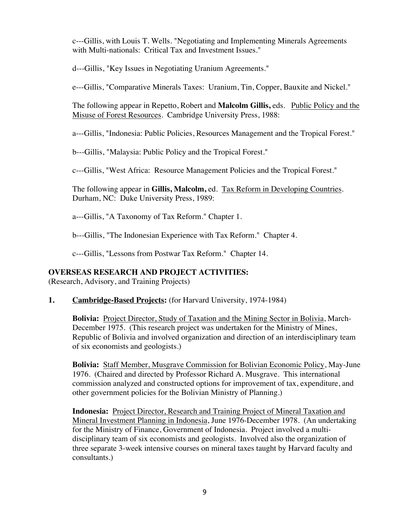c---Gillis, with Louis T. Wells. "Negotiating and Implementing Minerals Agreements with Multi-nationals: Critical Tax and Investment Issues."

d---Gillis, "Key Issues in Negotiating Uranium Agreements."

e---Gillis, "Comparative Minerals Taxes: Uranium, Tin, Copper, Bauxite and Nickel."

The following appear in Repetto, Robert and **Malcolm Gillis,** eds. Public Policy and the Misuse of Forest Resources. Cambridge University Press, 1988:

a---Gillis, "Indonesia: Public Policies, Resources Management and the Tropical Forest."

b---Gillis, "Malaysia: Public Policy and the Tropical Forest."

c---Gillis, "West Africa: Resource Management Policies and the Tropical Forest."

The following appear in **Gillis, Malcolm,** ed. Tax Reform in Developing Countries. Durham, NC: Duke University Press, 1989:

a---Gillis, "A Taxonomy of Tax Reform." Chapter 1.

b---Gillis, "The Indonesian Experience with Tax Reform." Chapter 4.

c---Gillis, "Lessons from Postwar Tax Reform." Chapter 14.

## **OVERSEAS RESEARCH AND PROJECT ACTIVITIES:**

(Research, Advisory, and Training Projects)

### **1. Cambridge-Based Projects:** (for Harvard University, 1974-1984)

**Bolivia:** Project Director, Study of Taxation and the Mining Sector in Bolivia, March-December 1975. (This research project was undertaken for the Ministry of Mines, Republic of Bolivia and involved organization and direction of an interdisciplinary team of six economists and geologists.)

**Bolivia:** Staff Member, Musgrave Commission for Bolivian Economic Policy, May-June 1976. (Chaired and directed by Professor Richard A. Musgrave. This international commission analyzed and constructed options for improvement of tax, expenditure, and other government policies for the Bolivian Ministry of Planning.)

**Indonesia:** Project Director, Research and Training Project of Mineral Taxation and Mineral Investment Planning in Indonesia, June 1976-December 1978. (An undertaking for the Ministry of Finance, Government of Indonesia. Project involved a multidisciplinary team of six economists and geologists. Involved also the organization of three separate 3-week intensive courses on mineral taxes taught by Harvard faculty and consultants.)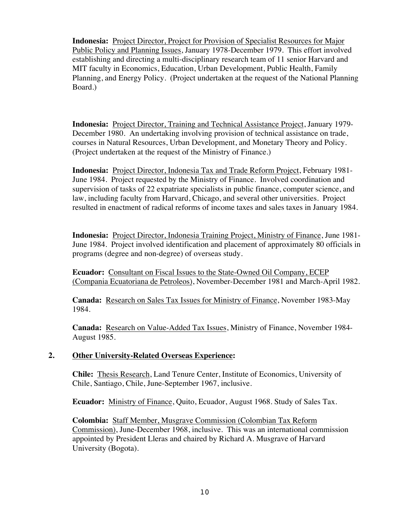**Indonesia:** Project Director, Project for Provision of Specialist Resources for Major Public Policy and Planning Issues, January 1978-December 1979. This effort involved establishing and directing a multi-disciplinary research team of 11 senior Harvard and MIT faculty in Economics, Education, Urban Development, Public Health, Family Planning, and Energy Policy. (Project undertaken at the request of the National Planning Board.)

**Indonesia:** Project Director, Training and Technical Assistance Project, January 1979- December 1980. An undertaking involving provision of technical assistance on trade, courses in Natural Resources, Urban Development, and Monetary Theory and Policy. (Project undertaken at the request of the Ministry of Finance.)

**Indonesia:** Project Director, Indonesia Tax and Trade Reform Project, February 1981- June 1984. Project requested by the Ministry of Finance. Involved coordination and supervision of tasks of 22 expatriate specialists in public finance, computer science, and law, including faculty from Harvard, Chicago, and several other universities. Project resulted in enactment of radical reforms of income taxes and sales taxes in January 1984.

**Indonesia:** Project Director, Indonesia Training Project, Ministry of Finance, June 1981- June 1984. Project involved identification and placement of approximately 80 officials in programs (degree and non-degree) of overseas study.

**Ecuador:** Consultant on Fiscal Issues to the State-Owned Oil Company, ECEP (Compania Ecuatoriana de Petroleos), November-December 1981 and March-April 1982.

**Canada:** Research on Sales Tax Issues for Ministry of Finance, November 1983-May 1984.

**Canada:** Research on Value-Added Tax Issues, Ministry of Finance, November 1984- August 1985.

## **2. Other University-Related Overseas Experience:**

**Chile:** Thesis Research, Land Tenure Center, Institute of Economics, University of Chile, Santiago, Chile, June-September 1967, inclusive.

**Ecuador:** Ministry of Finance, Quito, Ecuador, August 1968. Study of Sales Tax.

**Colombia:** Staff Member, Musgrave Commission (Colombian Tax Reform Commission), June-December 1968, inclusive. This was an international commission appointed by President Lleras and chaired by Richard A. Musgrave of Harvard University (Bogota).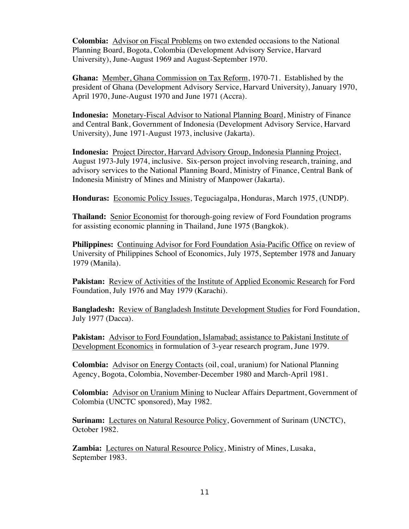**Colombia:** Advisor on Fiscal Problems on two extended occasions to the National Planning Board, Bogota, Colombia (Development Advisory Service, Harvard University), June-August 1969 and August-September 1970.

**Ghana:** Member, Ghana Commission on Tax Reform, 1970-71. Established by the president of Ghana (Development Advisory Service, Harvard University), January 1970, April 1970, June-August 1970 and June 1971 (Accra).

**Indonesia:** Monetary-Fiscal Advisor to National Planning Board, Ministry of Finance and Central Bank, Government of Indonesia (Development Advisory Service, Harvard University), June 1971-August 1973, inclusive (Jakarta).

**Indonesia:** Project Director, Harvard Advisory Group, Indonesia Planning Project, August 1973-July 1974, inclusive. Six-person project involving research, training, and advisory services to the National Planning Board, Ministry of Finance, Central Bank of Indonesia Ministry of Mines and Ministry of Manpower (Jakarta).

**Honduras:** Economic Policy Issues, Teguciagalpa, Honduras, March 1975, (UNDP).

**Thailand:** Senior Economist for thorough-going review of Ford Foundation programs for assisting economic planning in Thailand, June 1975 (Bangkok).

**Philippines:** Continuing Advisor for Ford Foundation Asia-Pacific Office on review of University of Philippines School of Economics, July 1975, September 1978 and January 1979 (Manila).

Pakistan: Review of Activities of the Institute of Applied Economic Research for Ford Foundation, July 1976 and May 1979 (Karachi).

**Bangladesh:** Review of Bangladesh Institute Development Studies for Ford Foundation, July 1977 (Dacca).

**Pakistan:** Advisor to Ford Foundation, Islamabad; assistance to Pakistani Institute of Development Economics in formulation of 3-year research program, June 1979.

**Colombia:** Advisor on Energy Contacts (oil, coal, uranium) for National Planning Agency, Bogota, Colombia, November-December 1980 and March-April 1981.

**Colombia:** Advisor on Uranium Mining to Nuclear Affairs Department, Government of Colombia (UNCTC sponsored), May 1982.

**Surinam:** Lectures on Natural Resource Policy, Government of Surinam (UNCTC), October 1982.

Zambia: Lectures on Natural Resource Policy, Ministry of Mines, Lusaka, September 1983.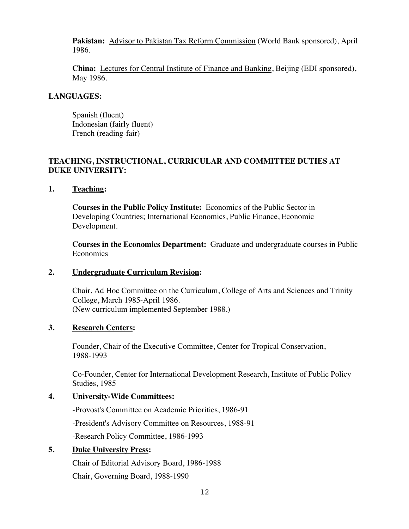**Pakistan:** Advisor to Pakistan Tax Reform Commission (World Bank sponsored), April 1986.

**China:** Lectures for Central Institute of Finance and Banking, Beijing (EDI sponsored), May 1986.

# **LANGUAGES:**

Spanish (fluent) Indonesian (fairly fluent) French (reading-fair)

# **TEACHING, INSTRUCTIONAL, CURRICULAR AND COMMITTEE DUTIES AT DUKE UNIVERSITY:**

## **1. Teaching:**

**Courses in the Public Policy Institute:** Economics of the Public Sector in Developing Countries; International Economics, Public Finance, Economic Development.

**Courses in the Economics Department:** Graduate and undergraduate courses in Public Economics

## **2. Undergraduate Curriculum Revision:**

Chair, Ad Hoc Committee on the Curriculum, College of Arts and Sciences and Trinity College, March 1985-April 1986. (New curriculum implemented September 1988.)

## **3. Research Centers:**

Founder, Chair of the Executive Committee, Center for Tropical Conservation, 1988-1993

Co-Founder, Center for International Development Research, Institute of Public Policy Studies, 1985

# **4. University-Wide Committees:**

-Provost's Committee on Academic Priorities, 1986-91 -President's Advisory Committee on Resources, 1988-91 -Research Policy Committee, 1986-1993

# **5. Duke University Press:**

Chair of Editorial Advisory Board, 1986-1988 Chair, Governing Board, 1988-1990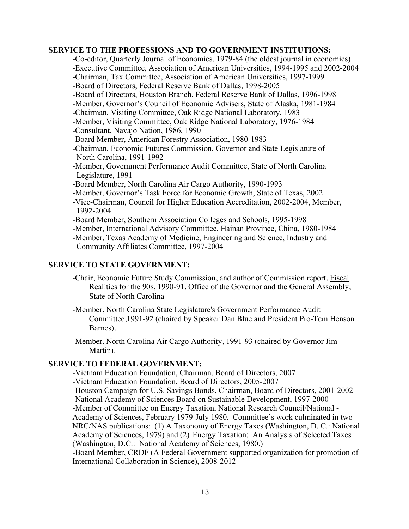## **SERVICE TO THE PROFESSIONS AND TO GOVERNMENT INSTITUTIONS:**

-Co-editor, Quarterly Journal of Economics, 1979-84 (the oldest journal in economics) -Executive Committee, Association of American Universities, 1994-1995 and 2002-2004 -Chairman, Tax Committee, Association of American Universities, 1997-1999

-Board of Directors, Federal Reserve Bank of Dallas, 1998-2005

- -Board of Directors, Houston Branch, Federal Reserve Bank of Dallas, 1996-1998
- -Member, Governor's Council of Economic Advisers, State of Alaska, 1981-1984
- -Chairman, Visiting Committee, Oak Ridge National Laboratory, 1983
- -Member, Visiting Committee, Oak Ridge National Laboratory, 1976-1984

-Consultant, Navajo Nation, 1986, 1990

- -Board Member, American Forestry Association, 1980-1983
- -Chairman, Economic Futures Commission, Governor and State Legislature of North Carolina, 1991-1992
- -Member, Government Performance Audit Committee, State of North Carolina Legislature, 1991
- -Board Member, North Carolina Air Cargo Authority, 1990-1993
- -Member, Governor's Task Force for Economic Growth, State of Texas, 2002
- -Vice-Chairman, Council for Higher Education Accreditation, 2002-2004, Member, 1992-2004
- -Board Member, Southern Association Colleges and Schools, 1995-1998
- -Member, International Advisory Committee, Hainan Province, China, 1980-1984

-Member, Texas Academy of Medicine, Engineering and Science, Industry and Community Affiliates Committee, 1997-2004

## **SERVICE TO STATE GOVERNMENT:**

- -Chair, Economic Future Study Commission, and author of Commission report, Fiscal Realities for the 90s, 1990-91, Office of the Governor and the General Assembly, State of North Carolina
- -Member, North Carolina State Legislature's Government Performance Audit Committee,1991-92 (chaired by Speaker Dan Blue and President Pro-Tem Henson Barnes).
- -Member, North Carolina Air Cargo Authority, 1991-93 (chaired by Governor Jim Martin).

## **SERVICE TO FEDERAL GOVERNMENT:**

-Vietnam Education Foundation, Chairman, Board of Directors, 2007

-Vietnam Education Foundation, Board of Directors, 2005-2007

- -Houston Campaign for U.S. Savings Bonds, Chairman, Board of Directors, 2001-2002
- -National Academy of Sciences Board on Sustainable Development, 1997-2000

-Member of Committee on Energy Taxation, National Research Council/National -Academy of Sciences, February 1979-July 1980. Committee's work culminated in two NRC/NAS publications: (1) A Taxonomy of Energy Taxes (Washington, D. C.: National Academy of Sciences, 1979) and (2) Energy Taxation: An Analysis of Selected Taxes (Washington, D.C.: National Academy of Sciences, 1980.)

-Board Member, CRDF (A Federal Government supported organization for promotion of International Collaboration in Science), 2008-2012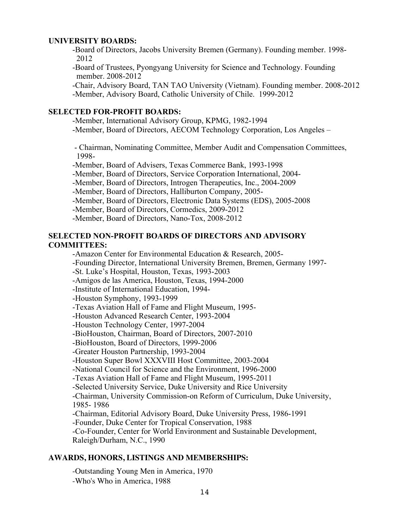## **UNIVERSITY BOARDS:**

-Board of Directors, Jacobs University Bremen (Germany). Founding member. 1998- 2012

-Board of Trustees, Pyongyang University for Science and Technology. Founding member. 2008-2012

-Chair, Advisory Board, TAN TAO University (Vietnam). Founding member. 2008-2012 -Member, Advisory Board, Catholic University of Chile. 1999-2012

## **SELECTED FOR-PROFIT BOARDS:**

-Member, International Advisory Group, KPMG, 1982-1994

-Member, Board of Directors, AECOM Technology Corporation, Los Angeles –

- Chairman, Nominating Committee, Member Audit and Compensation Committees, 1998-

-Member, Board of Advisers, Texas Commerce Bank, 1993-1998

-Member, Board of Directors, Service Corporation International, 2004-

-Member, Board of Directors, Introgen Therapeutics, Inc., 2004-2009

-Member, Board of Directors, Halliburton Company, 2005-

-Member, Board of Directors, Electronic Data Systems (EDS), 2005-2008

-Member, Board of Directors, Cormedics, 2009-2012

-Member, Board of Directors, Nano-Tox, 2008-2012

# **SELECTED NON-PROFIT BOARDS OF DIRECTORS AND ADVISORY COMMITTEES:**

-Amazon Center for Environmental Education & Research, 2005-

-Founding Director, International University Bremen, Bremen, Germany 1997-

-St. Luke's Hospital, Houston, Texas, 1993-2003

-Amigos de las America, Houston, Texas, 1994-2000

-Institute of International Education, 1994-

-Houston Symphony, 1993-1999

-Texas Aviation Hall of Fame and Flight Museum, 1995-

-Houston Advanced Research Center, 1993-2004

-Houston Technology Center, 1997-2004

-BioHouston, Chairman, Board of Directors, 2007-2010

-BioHouston, Board of Directors, 1999-2006

-Greater Houston Partnership, 1993-2004

-Houston Super Bowl XXXVIII Host Committee, 2003-2004

-National Council for Science and the Environment, 1996-2000

-Texas Aviation Hall of Fame and Flight Museum, 1995-2011

-Selected University Service, Duke University and Rice University

-Chairman, University Commission-on Reform of Curriculum, Duke University, 1985- 1986

-Chairman, Editorial Advisory Board, Duke University Press, 1986-1991

-Founder, Duke Center for Tropical Conservation, 1988

-Co-Founder, Center for World Environment and Sustainable Development, Raleigh/Durham, N.C., 1990

# **AWARDS, HONORS, LISTINGS AND MEMBERSHIPS:**

-Outstanding Young Men in America, 1970 -Who's Who in America, 1988